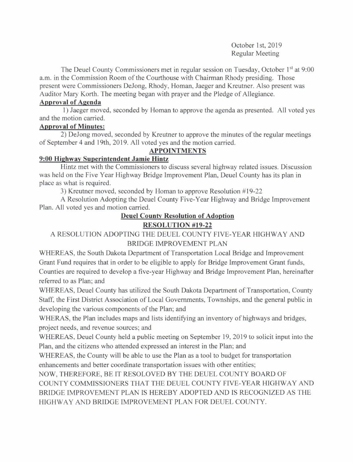October 1st, 2019 Regular Meeting

The Deuel County Commissioners met in regular session on Tuesday, October 1<sup>st</sup> at 9:00 a.m. in the Commission Room of the Courthouse with Chairman Rhody presiding. Those present were Commissioners DeJong, Rhody, Homan, Jaeger and Kreutner. Also present was Auditor Mary Korth. The meeting began with prayer and the Pledge of Allegiance.

#### Approval of Agenda

<sup>I</sup>) Jaeger moved, seconded by Homan to approve the agenda as presented. All voted yes and the motion carried.

## Approval of Minutes:

2) DeJong moved, seconded by Kreutner to approve the minutes of the regular meetings of September 4 and l9th, 2019. All voted yes and the motion carried.

## APPOINTMENTS

## 9:00 Hiqhwav Sunerintendent Jamie Hintz

Hintz met with the Commissioners to discuss several highway related issues. Discussion was held on the Five Year Highway Bridge Improvement Plan, Deuel County has its plan in place as what is required.

3) Kreutner moved, seconded by Homan to approve Resolution #19-22

A Resolution Adopting the Deuel County Five-Year Highway and Bridge Improvement Plan. All voted yes and motion carried.

# Deuel Countv Resolution of Adoption

# RESOLUTION #19.22

# A RESOLUTION ADOPTING THE DEUEL COUNTY FIVE-YEAR HIGHWAY AND BRIDGE IMPROVEMENT PLAN

WHEREAS, the South Dakota Department of Transportation Local Bridge and Improvement Grant Fund requires that in order to be eligible to apply for Bridge Improvement Grant funds, Counties are required to develop a five-year Highway and Bridge Improvement Plan, hereinafter referred to as Plan; and

WHEREAS, Deuel County has utilized the South Dakota Department of Transportation, County Staff, the First District Association of Local Govemments, Townships, and the general public in developing the various components of the Plan; and

WHERAS, the Plan includes maps and lists identifying an inventory of highways and bridges, project needs, and revenue sources; and

WHEREAS. Deuel County held a public meeting on September 19,2019 to solicit input into the Plan, and the citizens who attended expressed an interest in the Plan; and

WHEREAS, the County will be able to use the Plan as a tool to budget for transportation enhancements and better coordinate transportation issues with other entities;

NOW. THEREFORE. BE IT RESOLOVED BY THE DEUEL COUNTY BOARD OF COUNTY COMMISSIONERS THAT THE DEUEL COUNTY FIVE-YEAR HIGHWAY AND BRIDGE IMPROVEMENT PLAN IS HEREBY ADOPTED AND IS RECOGNIZED AS THE HIGHWAY AND BRIDGE IMPROVEMENT PLAN FOR DEUEL COUNTY.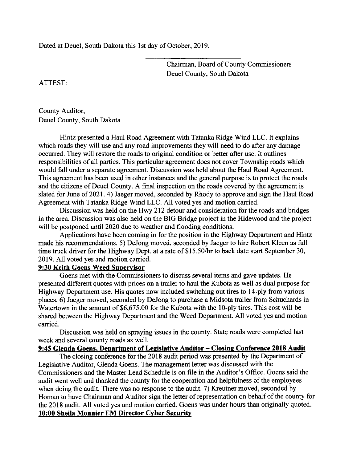Dated at Deuel, South Dakota this 1st day of October, 2019.

Chairman, Board of County Commissioners Deuel County, South Dakota

ATTEST:

County Auditor, Deuel County, South Dakota

Hintz presented a Haul Road Agreement with Tatanka Ridge Wind LLC. It explains which roads they will use and any road improvements they will need to do after any damage occurred. They will restore the roads to original condition or better after use. It outlines responsibilities of all parties. This particular agreement does not cover Township roads which would fall under a separate agreement. Discussion was held about the Haul Road Agreement. This agreement has been used in other instances and the general purpose is to protect the roads and the citizens of Deuel County. A final inspection on the roads covered by the agreement is slated for June of 2021. 4) Jaeger moved, seconded by Rhody to approve and sign the Haul Road Agreement with Tatanka Ridge Wind LLC. All voted yes and motion carried.

Discussion was held on the Hwy 212 detour and consideration for the roads and bridges in the area. Discussion was also held on the BIG Bridge project in the Hidewood and the project will be postponed until 2020 due to weather and flooding conditions.

Applications have been coming in for the position in the Highway Departrnent and Hintz made his recommendations. 5) DeJong moved, seconded by Jaeger to hire Robert Kleen as full time truck driver for the Highway Dept. at a rate of \$15.50/hr to back date start September 30, 2019. All voted yes and motion carried.

#### 9:30 Keith Goens Weed Sunervisor

Goens met with the Commissioners to discuss several items and gave updates. He presented different quotes with prices on a trailer to haul the Kubota as well as dual purpose for Highway Department use. His quotes now included switching out tires to 14-ply from various places. 6) Jaeger moved, seconded by DeJong to purchase a Midsota trailer from Schuchards in Watertown in the amount of \$6,675.00 for the Kubota with the 10-ply tires. This cost will be shared between the Highway Department and the Weed Department. All voted yes and motion carried.

Discussion was held on spraying issues in the county. State roads were completed last week and several county roads as well.

#### 9:45 Glenda Goens, Department of Legislative Auditor - Closing Conference 2018 Audit

The closing conference for the 2018 audit period was presented by the Department of Legislative Auditor, Glenda Goens. The management letter was discussed with the Commissioners and the Master Lead Schedule is on file in the Auditor's Office. Goens said the audit went well and thanked the county for the cooperation and helpfulness of the employees when doing the audit. There was no response to the audit. 7) Kreutner moved, seconded by Homan to have Chairman and Auditor sign the letter of representation on behalf of the county for the 2018 audit. All voted yes and motion carried. Goens was under hours than originally quoted. 10:00 Sheila Monnier EM Director Cvber Security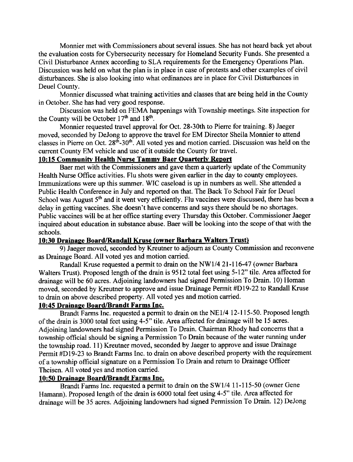Monnier met with Commissioners about several issues. She has not heard back yet about the evaluation costs for Cybersecurity necessary for Homeland Security Funds. She presented a Civil Disturbance Annex according to SLA requirements for the Emergency Operations Plan. Discussion was held on what the plan is in place in case of protests and other examples of civil disturbances. She is also looking into what ordinances are in place for Civil Disturbances in Deuel County.

Monnier discussed what training activities and classes that are being held in the County in October. She has had very good response.

Discussion was held on FEMA happenings with Township meetings. Site inspection for the County will be October  $17<sup>th</sup>$  and  $18<sup>th</sup>$ .

Monnier requested travel approval for Oct. 28-30th to Piene for training. 8) Jaeger moved, seconded by DeJong to approve the travel for EM Director Sheila Monnier to attend classes in Pierre on Oct. 28<sup>th</sup>-30<sup>th</sup>. All voted yes and motion carried. Discussion was held on the current County EM vehicle and use of it outside the County for travel.

#### 10:15 Communitv Health Nurse Tammv Baer Ouarterlv Renort

Baer met with the Commissioners and gave them a quarterly update of the Community Health Nurse Office activities. Flu shots were given earlier in the day to county employees. Immunizations were up this surnmer. WIC caseload is up in numbers as well. She attended a Public Health Conference in July and reported on that. The Back To School Fair for Deuel School was August  $5<sup>th</sup>$  and it went very efficiently. Flu vaccines were discussed, there has been a delay in getting vaccines. She doesn't have concems and says there should be no shortages. Public vaccines will be at her office starting every Thursday this October. Commissioner Jaeger inquired about education in substance abuse. Baer will be looking into the scope of that with the schools.

#### 10:30 Drainage Board/Randall Kruse (owner Barbara Walters Trust)

9) Jaeger moved, seconded by Kreutner to adjoum as County Commission and reconvene as Drainage Board. All voted yes and motion carried.

Randall Kruse requested a permit to drain on the NWll4 2l-116-47 (owner Barbara Walters Trust). Proposed length of the drain is 9512 total feet using 5-12" tile. Area affected for drainage will be 60 acres. Adjoining landowners had signed Permission To Drain. 10) Homan moved, seconded by Kreutner to approve and issue Drainage Permit #D19-22 to Randall Kruse to drain on above described property. All voted yes and motion carried.

# 10:45 Drainaee Board/Brandt Farns Inc.

Brandt Farms Inc. requested a permit to drain on the NE1/4 12-115-50. Proposed length of the drain is 3000 total feet using 4-5" tile. Area affected for drainage will be l5 acres. Adjoining landowners had signed Permission To Drain. Chairman Rhody had concems that a township official should be signing a Permission To Drain because of the water running under the township road. 1l) Kreutner moved, seconded by Jaeger to approve and issue Drainage Permit #Dl9-23 to Brandt Farms Inc. to drain on above described property with the requirement of a township official signature on a Permission To Drain and retum to Drainage Officer Theisen. All voted yes and motion carried.

# 10:50 Drainage Board/Brandt Farms Inc.

Brandt Farms Inc. requested a permit to drain on the SWl/4 11-115-50 (owner Gene Hamann). Proposed length of the drain is 6000 total feet using 4-5" tile. Area affected for drainage will be 35 acres. Adjoining landowners had signed Permission To Drain. 12) DeJong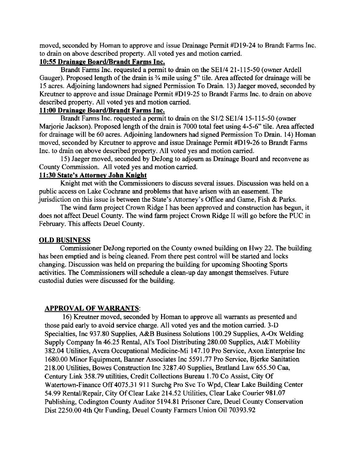moved, seconded by Homan to approve and issue Drainage Permit #Dl9-24 to Brandt Farms Inc. to drain on above described property. All voted yes and motion carried.

## 10:55 Drainage Board/Brandt Farms Inc.

Brandt Farms Inc. requested a permit to drain on the SEI/4 21-115-50 (owner Ardell Gauger). Proposed length of the drain is  $\frac{3}{4}$  mile using 5" tile. Area affected for drainage will be l5 acres. Adjoining landowners had signed Permission To Drain. l3) Jaeger moved, seconded by Kreutner to approve and issue Drainage Permit #Dl9-25 to Brandt Farms Inc. to drain on above described property. All voted yes and motion carried.

# 11:00 Drainaee Board/Brandt Farms Inc.

Brandt Farms Inc. requested a permit to drain on the Sl/2 SEI/4 15-115-50 (owner Marjorie Jackson). Proposed length of the drain is 7000 total feet using 4-5-6" tile. Area affected for drainage will be 60 acres. Adjoining landowners had signed Permission To Drain. l4) Homan moved, seconded by Kreutner to approve and issue Drainage Permit #Dl9-26 to Brandt Farms Inc. to drain on above described property. All voted yes and motion carried.

15) Jaeger moved, seconded by DeJong to adjourn as Drainage Board and reconvene as County Commission. All voted yes and motion carried.

## 11:30 State's Attornev John Knieht

Knight met with the Commissioners to discuss several issues. Discussion was held on a public access on Lake Cochrane and problems that have arisen with an easement. The jurisdiction on this issue is between the State's Attomey's Office and Game, Fish & Parks.

The wind farm project Crown Ridge I has been approved and construction has begun, it does not affect Deuel County. The wind farm project Crown Ridge II will go before the PUC in February. This affects Deuel County.

# OLD BUSINESS

Commissioner DeJong reported on the County owned building on Hwy 22. The building has been emptied and is being cleaned. From there pest control will be started and locks changing. Discussion was held on preparing the building for upcoming Shooting Sports activities. The Commissioners will schedule a clean-up day amongst themselves. Future custodial duties were discussed for the buildine.

# **APPROVAL OF WARRANTS:**

16) Kreutner moved, seconded by Homan to approve all warrants as presented and those paid early to avoid service charge. All voted yes and the motion carried. 3-D Specialties, Inc 937.80 Supplies, A&B Business Solutions 100.29 Supplies, A-Ox Welding Supply Company ln 46.25 Rental, Al's Tool Distributing 280.00 Supplies, At&T Mobility 382.04 Utilities, Avera Occupational Medicine-Mi 147.10 Pro Service, Axon Enterprise Inc 1680.00 Minor Equipment, Banner Associates Inc 5591.77 Pro Service, Bjerke Sanitation 218.00 Utilities, Bowes Construction Inc 3287.40 Supplies, Bratland Law 655.50 Caa, Century Link 358.79 utilities, Credit Collections Bureau 1.70 Co Assist, City Of Watertown-Finance Off 4075.31 911 Surchg Pro Svc To Wpd, Clear Lake Building Center 54.99 Rental/Repair, City Of Clear Lake 214.52 Utilities, Clear Lake Courier 981.07 Publishing, Codington County Auditor 5194.81 Prisoner Care, Deuel County Conservation Dist 2250.00 4th Otr Funding, Deuel County Farmers Union Oil 70393.92